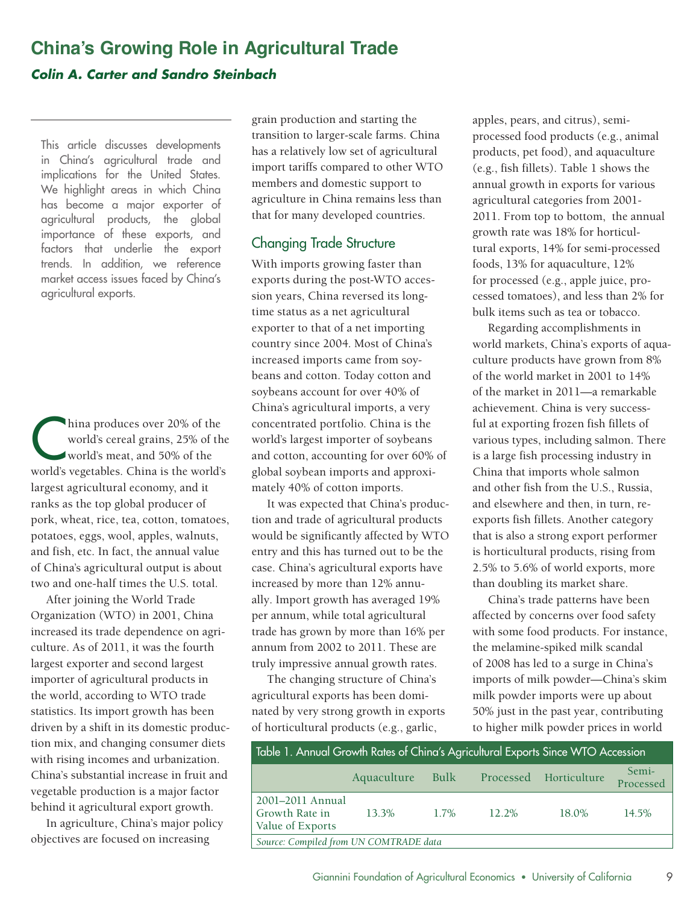# **China's Growing Role in Agricultural Trade**  *Colin A. Carter and Sandro Steinbach*

 implications for the United States. importance of these exports, and agricultural exports. This article discusses developments in China's agricultural trade and We highlight areas in which China has become a major exporter of agricultural products, the global factors that underlie the export trends. In addition, we reference market access issues faced by China's

hina produces over 20% of the<br>world's cereal grains, 25% of the<br>world's worstables. China is the world's world's cereal grains, 25% of the world's meat, and 50% of the world's vegetables. China is the world's largest agricultural economy, and it ranks as the top global producer of pork, wheat, rice, tea, cotton, tomatoes, potatoes, eggs, wool, apples, walnuts, and fish, etc. In fact, the annual value of China's agricultural output is about two and one-half times the U.S. total.

After joining the World Trade Organization (WTO) in 2001, China increased its trade dependence on agriculture. As of 2011, it was the fourth largest exporter and second largest importer of agricultural products in the world, according to WTO trade statistics. Its import growth has been driven by a shift in its domestic production mix, and changing consumer diets with rising incomes and urbanization. China's substantial increase in fruit and vegetable production is a major factor behind it agricultural export growth.

In agriculture, China's major policy objectives are focused on increasing

grain production and starting the transition to larger-scale farms. China has a relatively low set of agricultural import tariffs compared to other WTO members and domestic support to agriculture in China remains less than that for many developed countries.

## Changing Trade Structure

With imports growing faster than exports during the post-WTO accession years, China reversed its longtime status as a net agricultural exporter to that of a net importing country since 2004. Most of China's increased imports came from soybeans and cotton. Today cotton and soybeans account for over 40% of China's agricultural imports, a very concentrated portfolio. China is the world's largest importer of soybeans and cotton, accounting for over 60% of global soybean imports and approximately 40% of cotton imports.

It was expected that China's production and trade of agricultural products would be significantly affected by WTO entry and this has turned out to be the case. China's agricultural exports have increased by more than 12% annually. Import growth has averaged 19% per annum, while total agricultural trade has grown by more than 16% per annum from 2002 to 2011. These are truly impressive annual growth rates.

The changing structure of China's agricultural exports has been dominated by very strong growth in exports of horticultural products (e.g., garlic,

apples, pears, and citrus), semiprocessed food products (e.g., animal products, pet food), and aquaculture (e.g., fish fillets). Table 1 shows the annual growth in exports for various agricultural categories from 2001 2011. From top to bottom, the annual growth rate was 18% for horticultural exports, 14% for semi-processed foods, 13% for aquaculture, 12% for processed (e.g., apple juice, processed tomatoes), and less than 2% for bulk items such as tea or tobacco.

Regarding accomplishments in world markets, China's exports of aquaculture products have grown from 8% of the world market in 2001 to 14% of the market in 2011—a remarkable achievement. China is very successful at exporting frozen fish fillets of various types, including salmon. There is a large fish processing industry in China that imports whole salmon and other fish from the U.S., Russia, and elsewhere and then, in turn, reexports fish fillets. Another category that is also a strong export performer is horticultural products, rising from 2.5% to 5.6% of world exports, more than doubling its market share.

China's trade patterns have been affected by concerns over food safety with some food products. For instance, the melamine-spiked milk scandal of 2008 has led to a surge in China's imports of milk powder—China's skim milk powder imports were up about 50% just in the past year, contributing to higher milk powder prices in world

| Table 1. Annual Growth Rates of China's Agricultural Exports Since WTO Accession |                  |         |       |                        |                    |  |  |
|----------------------------------------------------------------------------------|------------------|---------|-------|------------------------|--------------------|--|--|
|                                                                                  | Aquaculture Bulk |         |       | Processed Horticulture | Semi-<br>Processed |  |  |
| 2001-2011 Annual<br>Growth Rate in<br>Value of Exports                           | 13.3%            | $1.7\%$ | 12.2% | 18.0%                  | $14.5\%$           |  |  |
| Source: Compiled from UN COMTRADE data                                           |                  |         |       |                        |                    |  |  |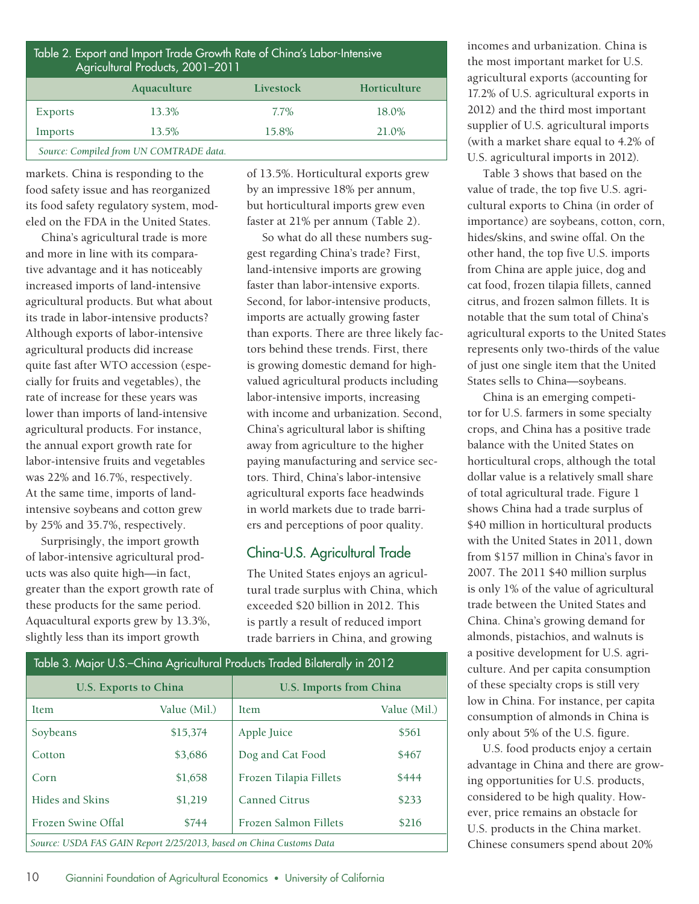| Table 2. Export and Import Trade Growth Rate of China's Labor-Intensive<br>Agricultural Products, 2001-2011 |             |           |              |  |  |  |
|-------------------------------------------------------------------------------------------------------------|-------------|-----------|--------------|--|--|--|
|                                                                                                             | Aquaculture | Livestock | Horticulture |  |  |  |
| Exports                                                                                                     | 13.3%       | 7.7%      | 18.0%        |  |  |  |
| Imports                                                                                                     | 13.5%       | 15.8%     | 21.0%        |  |  |  |
| Source: Compiled from UN COMTRADE data.                                                                     |             |           |              |  |  |  |

markets. China is responding to the food safety issue and has reorganized its food safety regulatory system, modeled on the FDA in the United States.

China's agricultural trade is more and more in line with its comparative advantage and it has noticeably increased imports of land-intensive agricultural products. But what about its trade in labor-intensive products? Although exports of labor-intensive agricultural products did increase quite fast after WTO accession (especially for fruits and vegetables), the rate of increase for these years was lower than imports of land-intensive agricultural products. For instance, the annual export growth rate for labor-intensive fruits and vegetables was 22% and 16.7%, respectively. At the same time, imports of landintensive soybeans and cotton grew by 25% and 35.7%, respectively.

Surprisingly, the import growth of labor-intensive agricultural products was also quite high—in fact, greater than the export growth rate of these products for the same period. Aquacultural exports grew by 13.3%, slightly less than its import growth

of 13.5%. Horticultural exports grew by an impressive 18% per annum, but horticultural imports grew even faster at 21% per annum (Table 2).

So what do all these numbers suggest regarding China's trade? First, land-intensive imports are growing faster than labor-intensive exports. Second, for labor-intensive products, imports are actually growing faster than exports. There are three likely factors behind these trends. First, there is growing domestic demand for highvalued agricultural products including labor-intensive imports, increasing with income and urbanization. Second, China's agricultural labor is shifting away from agriculture to the higher paying manufacturing and service sectors. Third, China's labor-intensive agricultural exports face headwinds in world markets due to trade barriers and perceptions of poor quality.

#### China-U.S. Agricultural Trade

The United States enjoys an agricultural trade surplus with China, which exceeded \$20 billion in 2012. This is partly a result of reduced import trade barriers in China, and growing

| Table 3. Major U.S.–China Agricultural Products Traded Bilaterally in 2012 |              |                                |              |  |  |  |
|----------------------------------------------------------------------------|--------------|--------------------------------|--------------|--|--|--|
| U.S. Exports to China                                                      |              | <b>U.S. Imports from China</b> |              |  |  |  |
| <b>Item</b>                                                                | Value (Mil.) | <b>Item</b>                    | Value (Mil.) |  |  |  |
| Soybeans                                                                   | \$15,374     | Apple Juice                    | \$561        |  |  |  |
| Cotton                                                                     | \$3,686      | Dog and Cat Food               | \$467        |  |  |  |
| Corn                                                                       | \$1,658      | Frozen Tilapia Fillets         | \$444        |  |  |  |
| Hides and Skins                                                            | \$1,219      | <b>Canned Citrus</b>           | \$233        |  |  |  |
| Frozen Swine Offal                                                         | \$744        | Frozen Salmon Fillets          | \$216        |  |  |  |
| Source: USDA FAS GAIN Report 2/25/2013, based on China Customs Data        |              |                                |              |  |  |  |

incomes and urbanization. China is the most important market for U.S. agricultural exports (accounting for 17.2% of U.S. agricultural exports in 2012) and the third most important supplier of U.S. agricultural imports (with a market share equal to 4.2% of U.S. agricultural imports in 2012).

Table 3 shows that based on the value of trade, the top five U.S. agricultural exports to China (in order of importance) are soybeans, cotton, corn, hides/skins, and swine offal. On the other hand, the top five U.S. imports from China are apple juice, dog and cat food, frozen tilapia fillets, canned citrus, and frozen salmon fillets. It is notable that the sum total of China's agricultural exports to the United States represents only two-thirds of the value of just one single item that the United States sells to China—soybeans.

China is an emerging competitor for U.S. farmers in some specialty crops, and China has a positive trade balance with the United States on horticultural crops, although the total dollar value is a relatively small share of total agricultural trade. Figure 1 shows China had a trade surplus of \$40 million in horticultural products with the United States in 2011, down from \$157 million in China's favor in 2007. The 2011 \$40 million surplus is only 1% of the value of agricultural trade between the United States and China. China's growing demand for almonds, pistachios, and walnuts is a positive development for U.S. agriculture. And per capita consumption of these specialty crops is still very low in China. For instance, per capita consumption of almonds in China is only about 5% of the U.S. figure.

U.S. food products enjoy a certain advantage in China and there are growing opportunities for U.S. products, considered to be high quality. However, price remains an obstacle for U.S. products in the China market. Chinese consumers spend about 20%